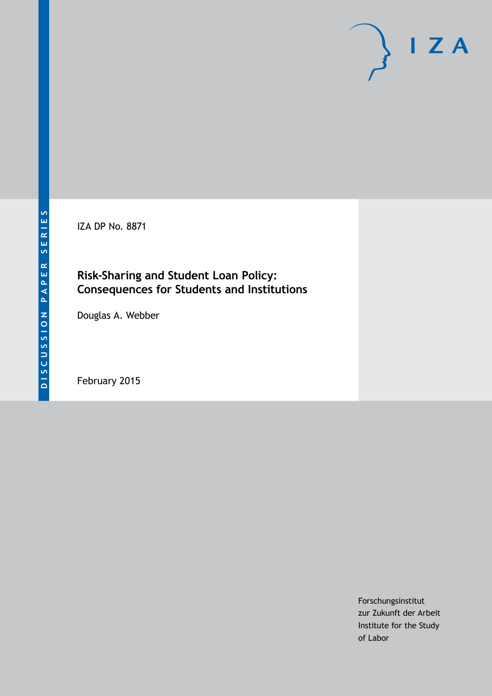IZA DP No. 8871

## **Risk-Sharing and Student Loan Policy: Consequences for Students and Institutions**

Douglas A. Webber

February 2015

Forschungsinstitut zur Zukunft der Arbeit Institute for the Study of Labor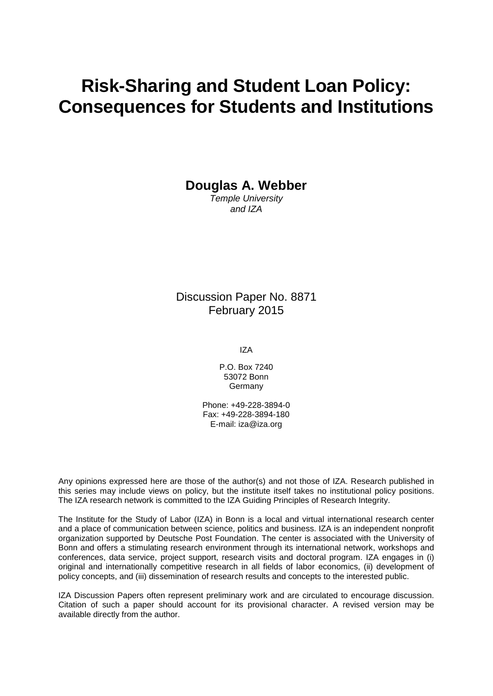# **Risk-Sharing and Student Loan Policy: Consequences for Students and Institutions**

**Douglas A. Webber**

*Temple University and IZA*

Discussion Paper No. 8871 February 2015

IZA

P.O. Box 7240 53072 Bonn **Germany** 

Phone: +49-228-3894-0 Fax: +49-228-3894-180 E-mail: [iza@iza.org](mailto:iza@iza.org)

Any opinions expressed here are those of the author(s) and not those of IZA. Research published in this series may include views on policy, but the institute itself takes no institutional policy positions. The IZA research network is committed to the IZA Guiding Principles of Research Integrity.

The Institute for the Study of Labor (IZA) in Bonn is a local and virtual international research center and a place of communication between science, politics and business. IZA is an independent nonprofit organization supported by Deutsche Post Foundation. The center is associated with the University of Bonn and offers a stimulating research environment through its international network, workshops and conferences, data service, project support, research visits and doctoral program. IZA engages in (i) original and internationally competitive research in all fields of labor economics, (ii) development of policy concepts, and (iii) dissemination of research results and concepts to the interested public.

<span id="page-1-0"></span>IZA Discussion Papers often represent preliminary work and are circulated to encourage discussion. Citation of such a paper should account for its provisional character. A revised version may be available directly from the author.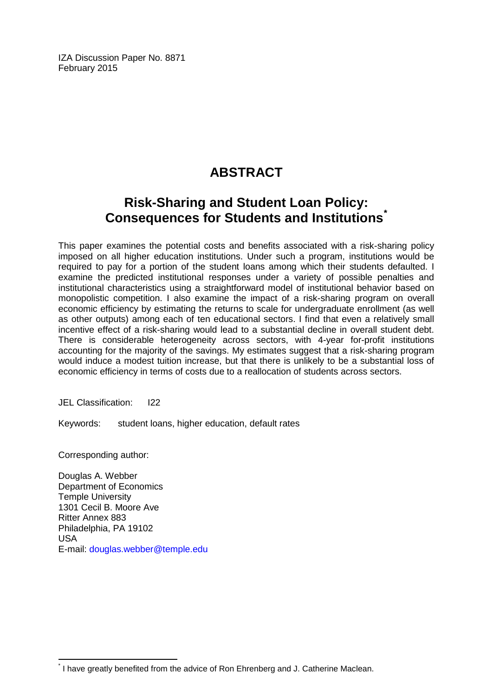IZA Discussion Paper No. 8871 February 2015

# **ABSTRACT**

## **Risk-Sharing and Student Loan Policy: Consequences for Students and Institutions[\\*](#page-1-0)**

This paper examines the potential costs and benefits associated with a risk-sharing policy imposed on all higher education institutions. Under such a program, institutions would be required to pay for a portion of the student loans among which their students defaulted. I examine the predicted institutional responses under a variety of possible penalties and institutional characteristics using a straightforward model of institutional behavior based on monopolistic competition. I also examine the impact of a risk-sharing program on overall economic efficiency by estimating the returns to scale for undergraduate enrollment (as well as other outputs) among each of ten educational sectors. I find that even a relatively small incentive effect of a risk-sharing would lead to a substantial decline in overall student debt. There is considerable heterogeneity across sectors, with 4-year for-profit institutions accounting for the majority of the savings. My estimates suggest that a risk-sharing program would induce a modest tuition increase, but that there is unlikely to be a substantial loss of economic efficiency in terms of costs due to a reallocation of students across sectors.

JEL Classification: I22

Keywords: student loans, higher education, default rates

Corresponding author:

Douglas A. Webber Department of Economics Temple University 1301 Cecil B. Moore Ave Ritter Annex 883 Philadelphia, PA 19102 USA E-mail: [douglas.webber@temple.edu](mailto:douglas.webber@temple.edu)

I have greatly benefited from the advice of Ron Ehrenberg and J. Catherine Maclean.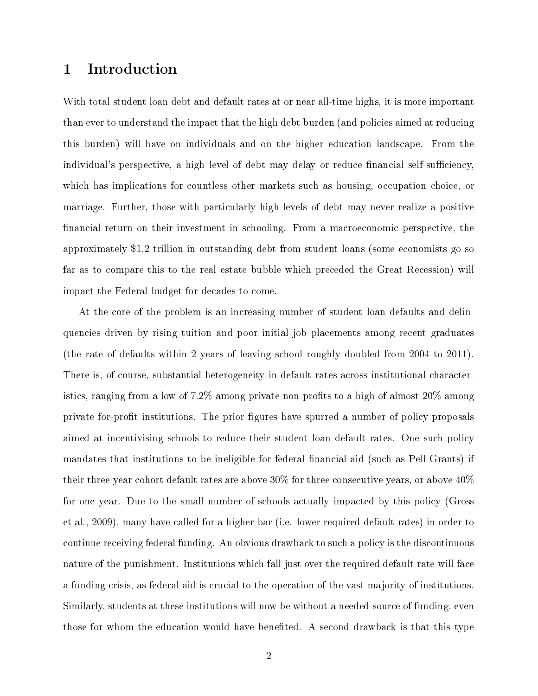#### 1 Introduction

With total student loan debt and default rates at or near all-time highs, it is more important than ever to understand the impact that the high debt burden (and policies aimed at reducing this burden) will have on individuals and on the higher education landscape. From the individual's perspective, a high level of debt may delay or reduce financial self-sufficiency, which has implications for countless other markets such as housing, occupation choice, or marriage. Further, those with particularly high levels of debt may never realize a positive nancial return on their investment in schooling. From a macroeconomic perspective, the approximately \$1.2 trillion in outstanding debt from student loans (some economists go so far as to compare this to the real estate bubble which preceded the Great Recession) will impact the Federal budget for decades to come.

At the core of the problem is an increasing number of student loan defaults and delinquencies driven by rising tuition and poor initial job placements among recent graduates (the rate of defaults within 2 years of leaving school roughly doubled from 2004 to 2011). There is, of course, substantial heterogeneity in default rates across institutional characteristics, ranging from a low of  $7.2\%$  among private non-profits to a high of almost  $20\%$  among private for-profit institutions. The prior figures have spurred a number of policy proposals aimed at incentivising schools to reduce their student loan default rates. One such policy mandates that institutions to be ineligible for federal financial aid (such as Pell Grants) if their three-year cohort default rates are above 30% for three consecutive years, or above 40% for one year. Due to the small number of schools actually impacted by this policy (Gross et al., 2009), many have called for a higher bar (i.e. lower required default rates) in order to continue receiving federal funding. An obvious drawback to such a policy is the discontinuous nature of the punishment. Institutions which fall just over the required default rate will face a funding crisis, as federal aid is crucial to the operation of the vast majority of institutions. Similarly, students at these institutions will now be without a needed source of funding, even those for whom the education would have benefited. A second drawback is that this type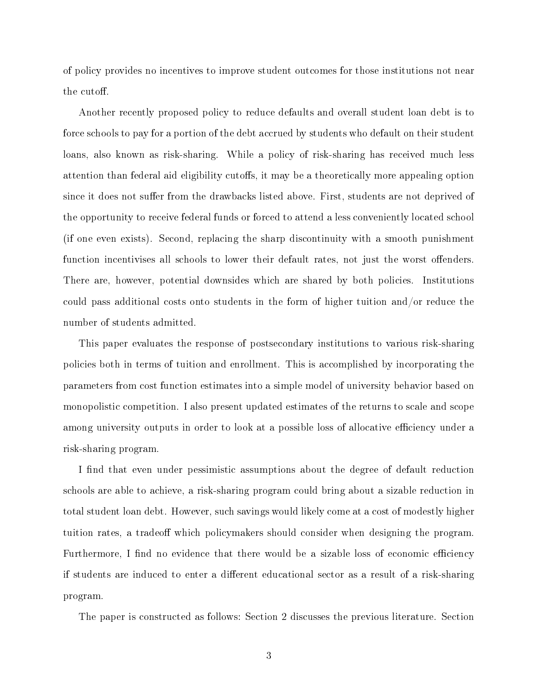of policy provides no incentives to improve student outcomes for those institutions not near the cutoff.

Another recently proposed policy to reduce defaults and overall student loan debt is to force schools to pay for a portion of the debt accrued by students who default on their student loans, also known as risk-sharing. While a policy of risk-sharing has received much less attention than federal aid eligibility cutoffs, it may be a theoretically more appealing option since it does not suffer from the drawbacks listed above. First, students are not deprived of the opportunity to receive federal funds or forced to attend a less conveniently located school (if one even exists). Second, replacing the sharp discontinuity with a smooth punishment function incentivises all schools to lower their default rates, not just the worst offenders. There are, however, potential downsides which are shared by both policies. Institutions could pass additional costs onto students in the form of higher tuition and/or reduce the number of students admitted.

This paper evaluates the response of postsecondary institutions to various risk-sharing policies both in terms of tuition and enrollment. This is accomplished by incorporating the parameters from cost function estimates into a simple model of university behavior based on monopolistic competition. I also present updated estimates of the returns to scale and scope among university outputs in order to look at a possible loss of allocative efficiency under a risk-sharing program.

I find that even under pessimistic assumptions about the degree of default reduction schools are able to achieve, a risk-sharing program could bring about a sizable reduction in total student loan debt. However, such savings would likely come at a cost of modestly higher tuition rates, a tradeoff which policymakers should consider when designing the program. Furthermore, I find no evidence that there would be a sizable loss of economic efficiency if students are induced to enter a different educational sector as a result of a risk-sharing program.

The paper is constructed as follows: Section 2 discusses the previous literature. Section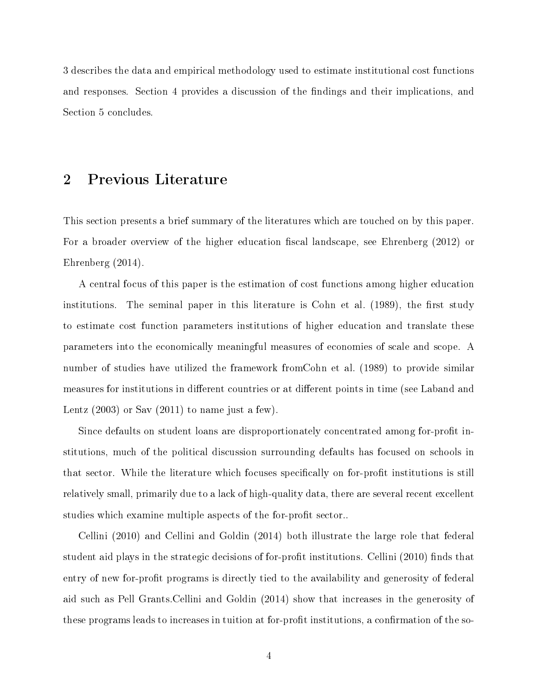3 describes the data and empirical methodology used to estimate institutional cost functions and responses. Section 4 provides a discussion of the findings and their implications, and Section 5 concludes.

#### 2 Previous Literature

This section presents a brief summary of the literatures which are touched on by this paper. For a broader overview of the higher education fiscal landscape, see Ehrenberg (2012) or Ehrenberg (2014).

A central focus of this paper is the estimation of cost functions among higher education institutions. The seminal paper in this literature is Cohn et al.  $(1989)$ , the first study to estimate cost function parameters institutions of higher education and translate these parameters into the economically meaningful measures of economies of scale and scope. A number of studies have utilized the framework fromCohn et al. (1989) to provide similar measures for institutions in different countries or at different points in time (see Laband and Lentz  $(2003)$  or Sav  $(2011)$  to name just a few).

Since defaults on student loans are disproportionately concentrated among for-profit institutions, much of the political discussion surrounding defaults has focused on schools in that sector. While the literature which focuses specifically on for-profit institutions is still relatively small, primarily due to a lack of high-quality data, there are several recent excellent studies which examine multiple aspects of the for-profit sector...

Cellini (2010) and Cellini and Goldin (2014) both illustrate the large role that federal student aid plays in the strategic decisions of for-profit institutions. Cellini  $(2010)$  finds that entry of new for-profit programs is directly tied to the availability and generosity of federal aid such as Pell Grants.Cellini and Goldin (2014) show that increases in the generosity of these programs leads to increases in tuition at for-profit institutions, a confirmation of the so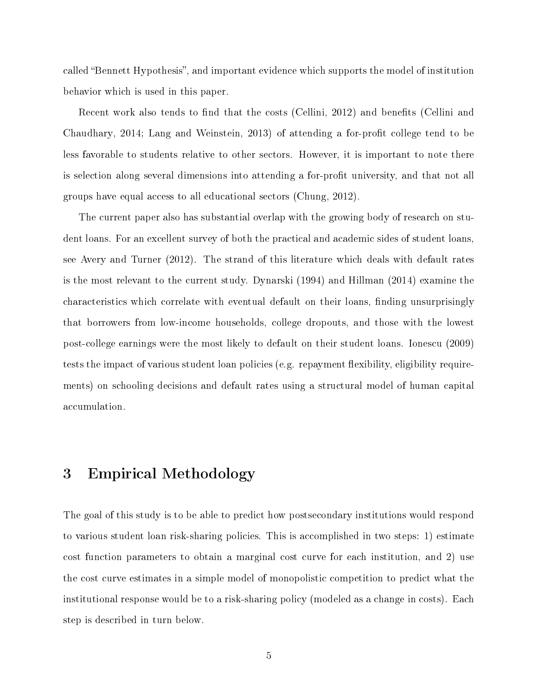called "Bennett Hypothesis", and important evidence which supports the model of institution behavior which is used in this paper.

Recent work also tends to find that the costs (Cellini, 2012) and benefits (Cellini and Chaudhary, 2014; Lang and Weinstein, 2013) of attending a for-profit college tend to be less favorable to students relative to other sectors. However, it is important to note there is selection along several dimensions into attending a for-profit university, and that not all groups have equal access to all educational sectors (Chung, 2012).

The current paper also has substantial overlap with the growing body of research on student loans. For an excellent survey of both the practical and academic sides of student loans, see Avery and Turner (2012). The strand of this literature which deals with default rates is the most relevant to the current study. Dynarski (1994) and Hillman (2014) examine the characteristics which correlate with eventual default on their loans, finding unsurprisingly that borrowers from low-income households, college dropouts, and those with the lowest post-college earnings were the most likely to default on their student loans. Ionescu (2009) tests the impact of various student loan policies (e.g. repayment flexibility, eligibility requirements) on schooling decisions and default rates using a structural model of human capital accumulation.

#### 3 Empirical Methodology

The goal of this study is to be able to predict how postsecondary institutions would respond to various student loan risk-sharing policies. This is accomplished in two steps: 1) estimate cost function parameters to obtain a marginal cost curve for each institution, and 2) use the cost curve estimates in a simple model of monopolistic competition to predict what the institutional response would be to a risk-sharing policy (modeled as a change in costs). Each step is described in turn below.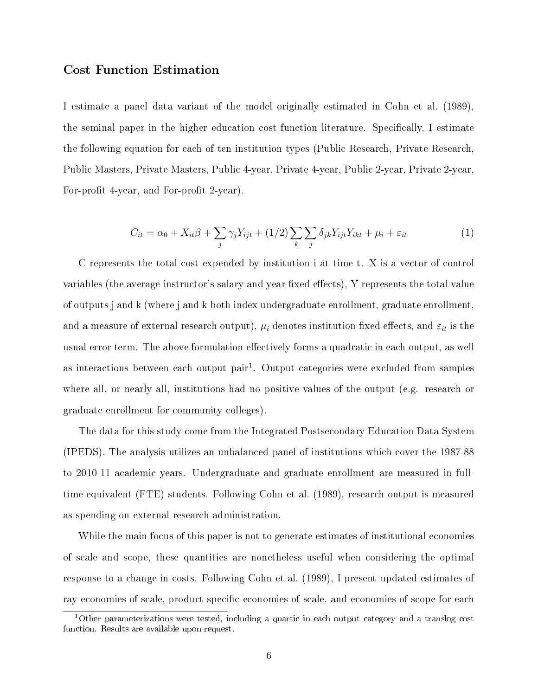#### Cost Function Estimation

I estimate a panel data variant of the model originally estimated in Cohn et al. (1989), the seminal paper in the higher education cost function literature. Specifically, I estimate the following equation for each of ten institution types (Public Research, Private Research, Public Masters, Private Masters, Public 4-year, Private 4-year, Public 2-year, Private 2-year, For-profit 4-year, and For-profit 2-year).

$$
C_{it} = \alpha_0 + X_{it}\beta + \sum_j \gamma_j Y_{ijt} + (1/2) \sum_k \sum_j \delta_{jk} Y_{ijt} Y_{ikt} + \mu_i + \varepsilon_{it}
$$
 (1)

C represents the total cost expended by institution i at time t. X is a vector of control variables (the average instructor's salary and year fixed effects), Y represents the total value of outputs j and k (where j and k both index undergraduate enrollment, graduate enrollment, and a measure of external research output),  $\mu_i$  denotes institution fixed effects, and  $\varepsilon_{it}$  is the usual error term. The above formulation effectively forms a quadratic in each output, as well as interactions between each output pair<sup>1</sup>. Output categories were excluded from samples where all, or nearly all, institutions had no positive values of the output (e.g. research or graduate enrollment for community colleges).

The data for this study come from the Integrated Postsecondary Education Data System (IPEDS). The analysis utilizes an unbalanced panel of institutions which cover the 1987-88 to 2010-11 academic years. Undergraduate and graduate enrollment are measured in fulltime equivalent (FTE) students. Following Cohn et al. (1989), research output is measured as spending on external research administration.

While the main focus of this paper is not to generate estimates of institutional economies of scale and scope, these quantities are nonetheless useful when considering the optimal response to a change in costs. Following Cohn et al. (1989), I present updated estimates of ray economies of scale, product specific economies of scale, and economies of scope for each

 $1$ Other parameterizations were tested, including a quartic in each output category and a translog cost function. Results are available upon request.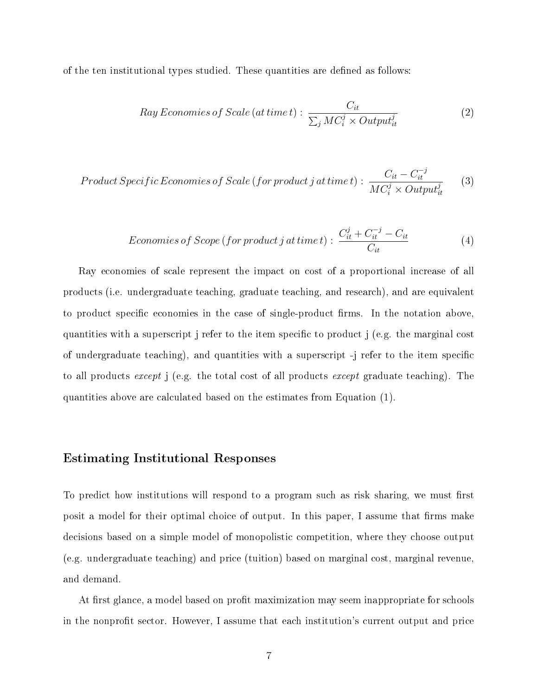of the ten institutional types studied. These quantities are dened as follows:

Ray Economics of Scale (at time t) : 
$$
\frac{C_{it}}{\sum_{j} MC_{i}^{j} \times Output_{it}^{j}}
$$
 (2)

$$
Product Specific Economics of Scale (for product j at time t): \frac{C_{it} - C_{it}^{-j}}{MC_{i}^{j} \times Output_{it}^{j}}
$$
(3)

Economics of Scope (for product j at time t) : 
$$
\frac{C_{it}^{j} + C_{it}^{-j} - C_{it}}{C_{it}}
$$
(4)

Ray economies of scale represent the impact on cost of a proportional increase of all products (i.e. undergraduate teaching, graduate teaching, and research), and are equivalent to product specific economies in the case of single-product firms. In the notation above, quantities with a superscript j refer to the item specific to product j (e.g. the marginal cost of undergraduate teaching), and quantities with a superscript -j refer to the item specific to all products except j (e.g. the total cost of all products except graduate teaching). The quantities above are calculated based on the estimates from Equation (1).

#### Estimating Institutional Responses

To predict how institutions will respond to a program such as risk sharing, we must first posit a model for their optimal choice of output. In this paper, I assume that firms make decisions based on a simple model of monopolistic competition, where they choose output (e.g. undergraduate teaching) and price (tuition) based on marginal cost, marginal revenue, and demand.

At first glance, a model based on profit maximization may seem inappropriate for schools in the nonprofit sector. However, I assume that each institution's current output and price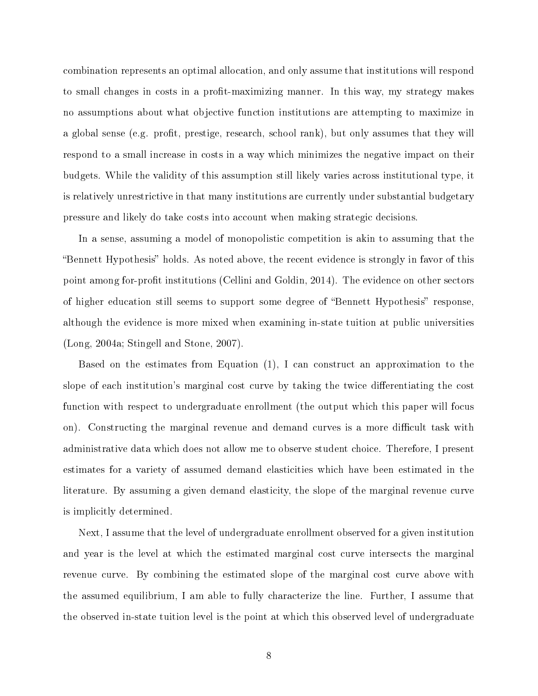combination represents an optimal allocation, and only assume that institutions will respond to small changes in costs in a profit-maximizing manner. In this way, my strategy makes no assumptions about what objective function institutions are attempting to maximize in a global sense (e.g. profit, prestige, research, school rank), but only assumes that they will respond to a small increase in costs in a way which minimizes the negative impact on their budgets. While the validity of this assumption still likely varies across institutional type, it is relatively unrestrictive in that many institutions are currently under substantial budgetary pressure and likely do take costs into account when making strategic decisions.

In a sense, assuming a model of monopolistic competition is akin to assuming that the "Bennett Hypothesis" holds. As noted above, the recent evidence is strongly in favor of this point among for-profit institutions (Cellini and Goldin, 2014). The evidence on other sectors of higher education still seems to support some degree of "Bennett Hypothesis" response, although the evidence is more mixed when examining in-state tuition at public universities (Long, 2004a; Stingell and Stone, 2007).

Based on the estimates from Equation (1), I can construct an approximation to the slope of each institution's marginal cost curve by taking the twice differentiating the cost function with respect to undergraduate enrollment (the output which this paper will focus on). Constructing the marginal revenue and demand curves is a more difficult task with administrative data which does not allow me to observe student choice. Therefore, I present estimates for a variety of assumed demand elasticities which have been estimated in the literature. By assuming a given demand elasticity, the slope of the marginal revenue curve is implicitly determined.

Next, I assume that the level of undergraduate enrollment observed for a given institution and year is the level at which the estimated marginal cost curve intersects the marginal revenue curve. By combining the estimated slope of the marginal cost curve above with the assumed equilibrium, I am able to fully characterize the line. Further, I assume that the observed in-state tuition level is the point at which this observed level of undergraduate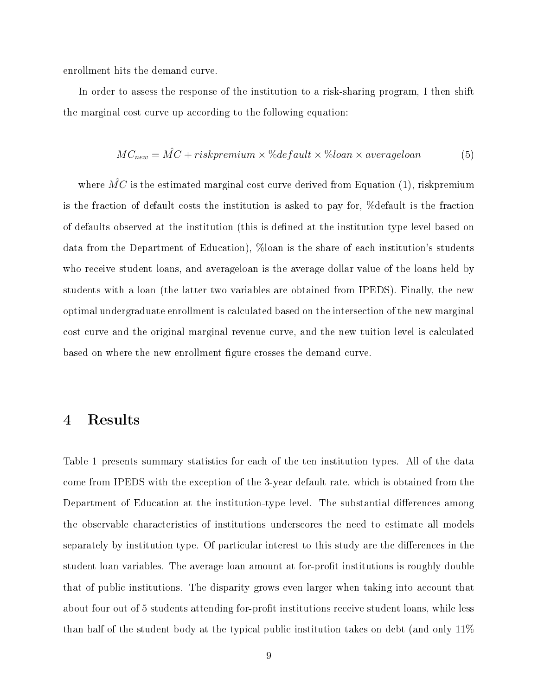enrollment hits the demand curve.

In order to assess the response of the institution to a risk-sharing program, I then shift the marginal cost curve up according to the following equation:

$$
MC_{new} = \hat{MC} + riskpremium \times \% default \times \% loan \times average loan
$$
 (5)

where  $\hat{MC}$  is the estimated marginal cost curve derived from Equation (1), riskpremium is the fraction of default costs the institution is asked to pay for, %default is the fraction of defaults observed at the institution (this is defined at the institution type level based on data from the Department of Education), %loan is the share of each institution's students who receive student loans, and averageloan is the average dollar value of the loans held by students with a loan (the latter two variables are obtained from IPEDS). Finally, the new optimal undergraduate enrollment is calculated based on the intersection of the new marginal cost curve and the original marginal revenue curve, and the new tuition level is calculated based on where the new enrollment figure crosses the demand curve.

#### 4 Results

Table 1 presents summary statistics for each of the ten institution types. All of the data come from IPEDS with the exception of the 3-year default rate, which is obtained from the Department of Education at the institution-type level. The substantial differences among the observable characteristics of institutions underscores the need to estimate all models separately by institution type. Of particular interest to this study are the differences in the student loan variables. The average loan amount at for-profit institutions is roughly double that of public institutions. The disparity grows even larger when taking into account that about four out of 5 students attending for-profit institutions receive student loans, while less than half of the student body at the typical public institution takes on debt (and only 11%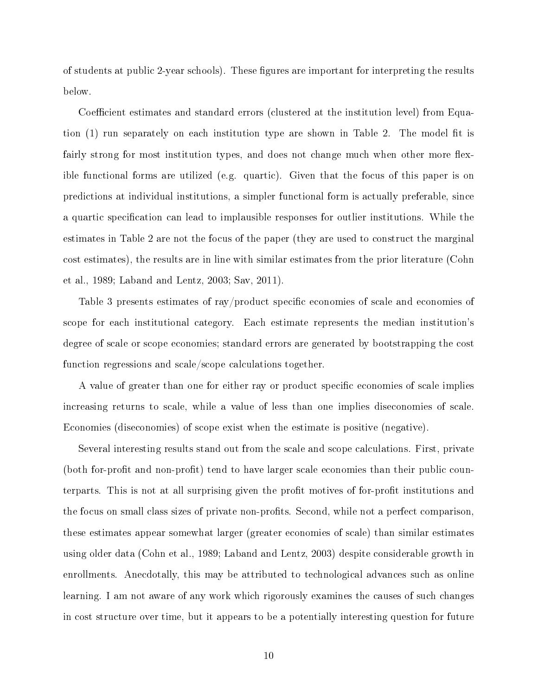of students at public 2-year schools). These figures are important for interpreting the results below.

Coefficient estimates and standard errors (clustered at the institution level) from Equation  $(1)$  run separately on each institution type are shown in Table 2. The model fit is fairly strong for most institution types, and does not change much when other more flexible functional forms are utilized (e.g. quartic). Given that the focus of this paper is on predictions at individual institutions, a simpler functional form is actually preferable, since a quartic specification can lead to implausible responses for outlier institutions. While the estimates in Table 2 are not the focus of the paper (they are used to construct the marginal cost estimates), the results are in line with similar estimates from the prior literature (Cohn et al., 1989; Laband and Lentz, 2003; Sav, 2011).

Table 3 presents estimates of ray/product specific economies of scale and economies of scope for each institutional category. Each estimate represents the median institution's degree of scale or scope economies; standard errors are generated by bootstrapping the cost function regressions and scale/scope calculations together.

A value of greater than one for either ray or product specific economies of scale implies increasing returns to scale, while a value of less than one implies diseconomies of scale. Economies (diseconomies) of scope exist when the estimate is positive (negative).

Several interesting results stand out from the scale and scope calculations. First, private (both for-profit and non-profit) tend to have larger scale economies than their public counterparts. This is not at all surprising given the profit motives of for-profit institutions and the focus on small class sizes of private non-profits. Second, while not a perfect comparison. these estimates appear somewhat larger (greater economies of scale) than similar estimates using older data (Cohn et al., 1989; Laband and Lentz, 2003) despite considerable growth in enrollments. Anecdotally, this may be attributed to technological advances such as online learning. I am not aware of any work which rigorously examines the causes of such changes in cost structure over time, but it appears to be a potentially interesting question for future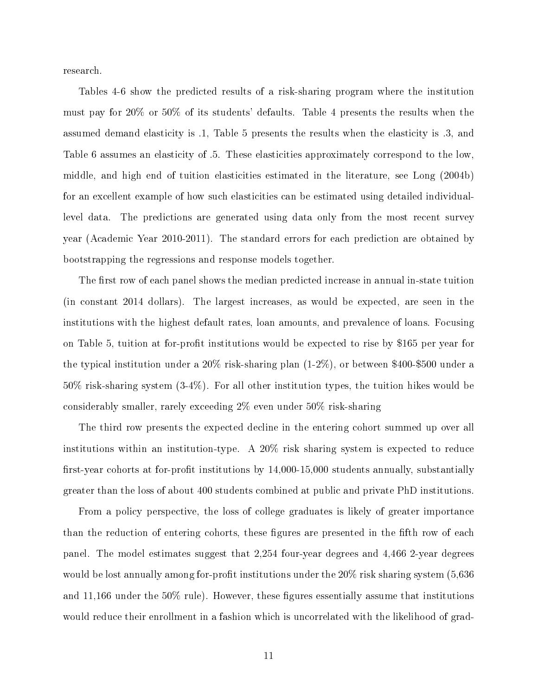research.

Tables 4-6 show the predicted results of a risk-sharing program where the institution must pay for 20% or 50% of its students' defaults. Table 4 presents the results when the assumed demand elasticity is .1, Table 5 presents the results when the elasticity is .3, and Table 6 assumes an elasticity of .5. These elasticities approximately correspond to the low, middle, and high end of tuition elasticities estimated in the literature, see Long (2004b) for an excellent example of how such elasticities can be estimated using detailed individuallevel data. The predictions are generated using data only from the most recent survey year (Academic Year 2010-2011). The standard errors for each prediction are obtained by bootstrapping the regressions and response models together.

The first row of each panel shows the median predicted increase in annual in-state tuition (in constant 2014 dollars). The largest increases, as would be expected, are seen in the institutions with the highest default rates, loan amounts, and prevalence of loans. Focusing on Table 5, tuition at for-profit institutions would be expected to rise by \$165 per year for the typical institution under a 20% risk-sharing plan (1-2%), or between \$400-\$500 under a 50% risk-sharing system (3-4%). For all other institution types, the tuition hikes would be considerably smaller, rarely exceeding 2% even under 50% risk-sharing

The third row presents the expected decline in the entering cohort summed up over all institutions within an institution-type. A 20% risk sharing system is expected to reduce first-year cohorts at for-profit institutions by  $14,000-15,000$  students annually, substantially greater than the loss of about 400 students combined at public and private PhD institutions.

From a policy perspective, the loss of college graduates is likely of greater importance than the reduction of entering cohorts, these figures are presented in the fifth row of each panel. The model estimates suggest that 2,254 four-year degrees and 4,466 2-year degrees would be lost annually among for-profit institutions under the  $20\%$  risk sharing system (5,636) and  $11,166$  under the  $50\%$  rule). However, these figures essentially assume that institutions would reduce their enrollment in a fashion which is uncorrelated with the likelihood of grad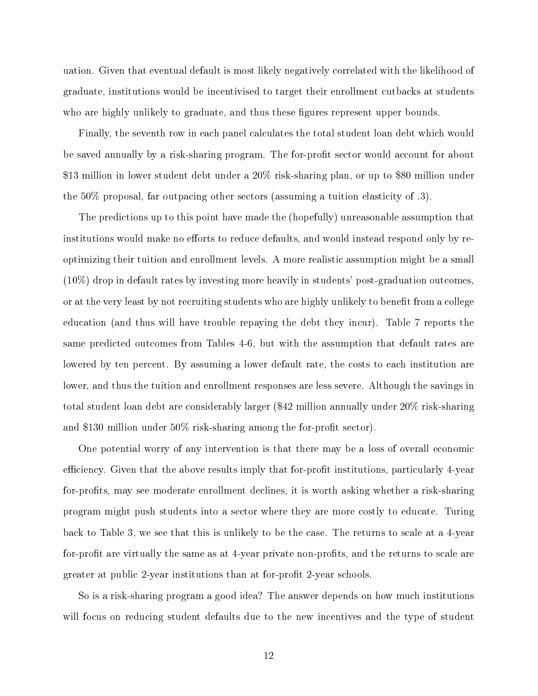uation. Given that eventual default is most likely negatively correlated with the likelihood of graduate, institutions would be incentivised to target their enrollment cutbacks at students who are highly unlikely to graduate, and thus these figures represent upper bounds.

Finally, the seventh row in each panel calculates the total student loan debt which would be saved annually by a risk-sharing program. The for-profit sector would account for about \$13 million in lower student debt under a 20% risk-sharing plan, or up to \$80 million under the 50% proposal, far outpacing other sectors (assuming a tuition elasticity of .3).

The predictions up to this point have made the (hopefully) unreasonable assumption that institutions would make no efforts to reduce defaults, and would instead respond only by reoptimizing their tuition and enrollment levels. A more realistic assumption might be a small (10%) drop in default rates by investing more heavily in students' post-graduation outcomes, or at the very least by not recruiting students who are highly unlikely to benefit from a college education (and thus will have trouble repaying the debt they incur). Table 7 reports the same predicted outcomes from Tables 4-6, but with the assumption that default rates are lowered by ten percent. By assuming a lower default rate, the costs to each institution are lower, and thus the tuition and enrollment responses are less severe. Although the savings in total student loan debt are considerably larger (\$42 million annually under 20% risk-sharing and \$130 million under  $50\%$  risk-sharing among the for-profit sector).

One potential worry of any intervention is that there may be a loss of overall economic efficiency. Given that the above results imply that for-profit institutions, particularly 4-year for-profits, may see moderate enrollment declines, it is worth asking whether a risk-sharing program might push students into a sector where they are more costly to educate. Turing back to Table 3, we see that this is unlikely to be the case. The returns to scale at a 4-year for-profit are virtually the same as at 4-year private non-profits, and the returns to scale are greater at public 2-year institutions than at for-profit 2-year schools.

So is a risk-sharing program a good idea? The answer depends on how much institutions will focus on reducing student defaults due to the new incentives and the type of student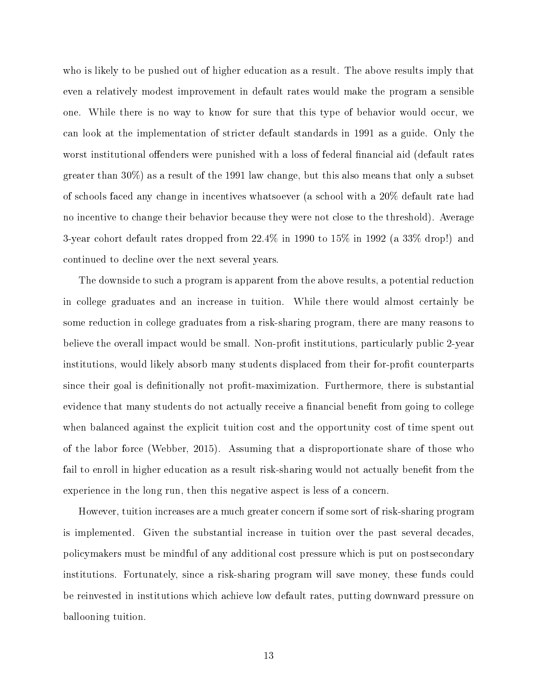who is likely to be pushed out of higher education as a result. The above results imply that even a relatively modest improvement in default rates would make the program a sensible one. While there is no way to know for sure that this type of behavior would occur, we can look at the implementation of stricter default standards in 1991 as a guide. Only the worst institutional offenders were punished with a loss of federal financial aid (default rates greater than 30%) as a result of the 1991 law change, but this also means that only a subset of schools faced any change in incentives whatsoever (a school with a 20% default rate had no incentive to change their behavior because they were not close to the threshold). Average 3-year cohort default rates dropped from 22.4% in 1990 to 15% in 1992 (a 33% drop!) and continued to decline over the next several years.

The downside to such a program is apparent from the above results, a potential reduction in college graduates and an increase in tuition. While there would almost certainly be some reduction in college graduates from a risk-sharing program, there are many reasons to believe the overall impact would be small. Non-profit institutions, particularly public 2-year institutions, would likely absorb many students displaced from their for-profit counterparts since their goal is definitionally not profit-maximization. Furthermore, there is substantial evidence that many students do not actually receive a financial benefit from going to college when balanced against the explicit tuition cost and the opportunity cost of time spent out of the labor force (Webber, 2015). Assuming that a disproportionate share of those who fail to enroll in higher education as a result risk-sharing would not actually benefit from the experience in the long run, then this negative aspect is less of a concern.

However, tuition increases are a much greater concern if some sort of risk-sharing program is implemented. Given the substantial increase in tuition over the past several decades, policymakers must be mindful of any additional cost pressure which is put on postsecondary institutions. Fortunately, since a risk-sharing program will save money, these funds could be reinvested in institutions which achieve low default rates, putting downward pressure on ballooning tuition.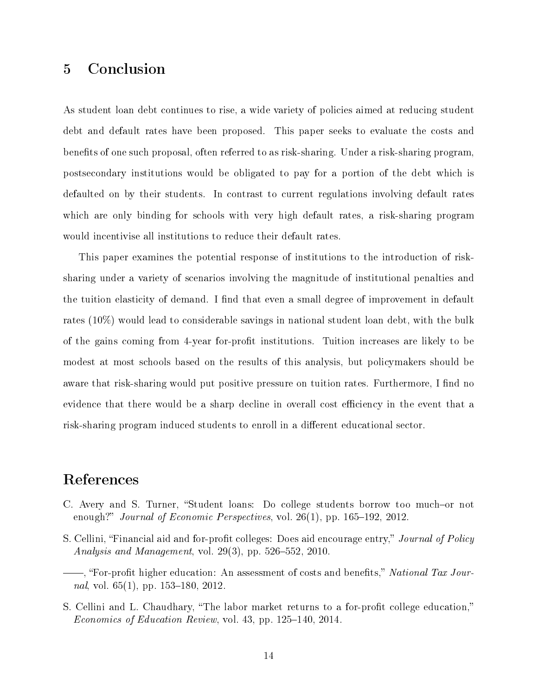### 5 Conclusion

As student loan debt continues to rise, a wide variety of policies aimed at reducing student debt and default rates have been proposed. This paper seeks to evaluate the costs and benefits of one such proposal, often referred to as risk-sharing. Under a risk-sharing program, postsecondary institutions would be obligated to pay for a portion of the debt which is defaulted on by their students. In contrast to current regulations involving default rates which are only binding for schools with very high default rates, a risk-sharing program would incentivise all institutions to reduce their default rates.

This paper examines the potential response of institutions to the introduction of risksharing under a variety of scenarios involving the magnitude of institutional penalties and the tuition elasticity of demand. I find that even a small degree of improvement in default rates (10%) would lead to considerable savings in national student loan debt, with the bulk of the gains coming from 4-year for-profit institutions. Tuition increases are likely to be modest at most schools based on the results of this analysis, but policymakers should be aware that risk-sharing would put positive pressure on tuition rates. Furthermore, I find no evidence that there would be a sharp decline in overall cost efficiency in the event that a risk-sharing program induced students to enroll in a different educational sector.

#### References

- C. Avery and S. Turner, "Student loans: Do college students borrow too much-or not enough?" Journal of Economic Perspectives, vol.  $26(1)$ , pp.  $165-192$ ,  $2012$ .
- S. Cellini, "Financial aid and for-profit colleges: Does aid encourage entry," Journal of Policy Analysis and Management, vol.  $29(3)$ , pp.  $526-552$ ,  $2010$ .
- —, "For-profit higher education: An assessment of costs and benefits," National Tax Journal, vol.  $65(1)$ , pp.  $153-180$ ,  $2012$ .
- S. Cellini and L. Chaudhary, "The labor market returns to a for-profit college education," Economics of Education Review, vol. 43, pp. 125–140, 2014.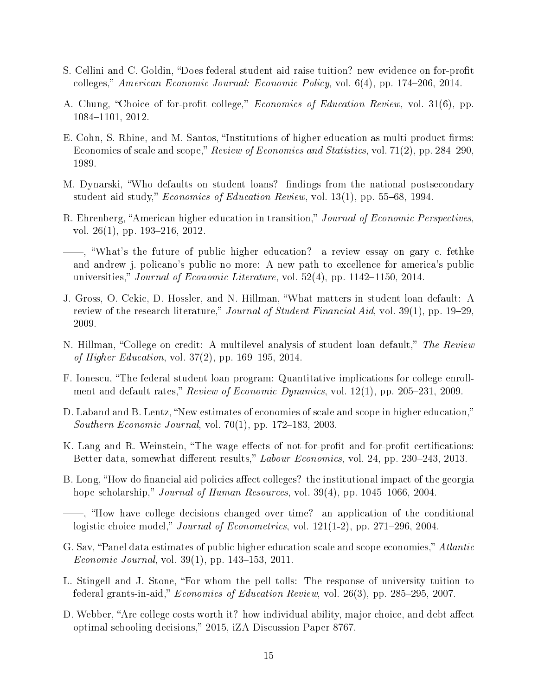- S. Cellini and C. Goldin, "Does federal student aid raise tuition? new evidence on for-profit colleges," American Economic Journal: Economic Policy, vol.  $6(4)$ , pp. 174–206, 2014.
- A. Chung, "Choice of for-profit college," *Economics of Education Review*, vol. 31(6), pp. 1084-1101, 2012.
- E. Cohn, S. Rhine, and M. Santos, "Institutions of higher education as multi-product firms: Economies of scale and scope," Review of Economics and Statistics, vol. 71(2), pp. 284–290, 1989.
- M. Dynarski, "Who defaults on student loans? findings from the national postsecondary student aid study," *Economics of Education Review*, vol.  $13(1)$ , pp.  $55-68$ , 1994.
- R. Ehrenberg, "American higher education in transition," Journal of Economic Perspectives. vol. 26 $(1)$ , pp. 193–216, 2012.
- , What's the future of public higher education? a review essay on gary c. fethke and andrew j. policano's public no more: A new path to excellence for america's public universities," Journal of Economic Literature, vol.  $52(4)$ , pp.  $1142-1150$ ,  $2014$ .
- J. Gross, O. Cekic, D. Hossler, and N. Hillman, What matters in student loan default: A review of the research literature," Journal of Student Financial Aid, vol. 39(1), pp. 19–29, 2009.
- N. Hillman, "College on credit: A multilevel analysis of student loan default," The Review of Higher Education, vol.  $37(2)$ , pp.  $169-195$ ,  $2014$ .
- F. Ionescu, The federal student loan program: Quantitative implications for college enrollment and default rates," Review of Economic Dynamics, vol.  $12(1)$ , pp.  $205-231$ ,  $2009$ .
- D. Laband and B. Lentz, "New estimates of economies of scale and scope in higher education," *Southern Economic Journal*, vol.  $70(1)$ , pp.  $172-183$ ,  $2003$ .
- K. Lang and R. Weinstein, "The wage effects of not-for-profit and for-profit certifications: Better data, somewhat different results," Labour Economics, vol. 24, pp. 230-243, 2013.
- B. Long, "How do financial aid policies affect colleges? the institutional impact of the georgia hope scholarship," Journal of Human Resources, vol.  $39(4)$ , pp.  $1045-1066$ , 2004.

- G. Sav, "Panel data estimates of public higher education scale and scope economies," Atlantic Economic Journal, vol.  $39(1)$ , pp.  $143-153$ ,  $2011$ .
- L. Stingell and J. Stone, "For whom the pell tolls: The response of university tuition to federal grants-in-aid,"  $Economics$  of Education Review, vol. 26(3), pp. 285-295, 2007.
- D. Webber, "Are college costs worth it? how individual ability, major choice, and debt affect optimal schooling decisions," 2015, iZA Discussion Paper 8767.

<sup>,</sup> How have college decisions changed over time? an application of the conditional logistic choice model," Journal of Econometrics, vol.  $121(1-2)$ , pp.  $271-296$ ,  $2004$ .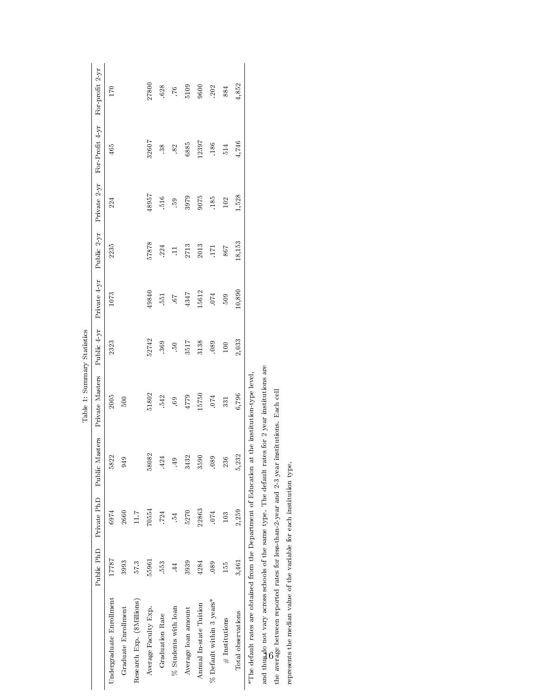|                                                                                                 |            |       |                            | Table 1: Summary Statistics |             |              |             |              |                 |                 |
|-------------------------------------------------------------------------------------------------|------------|-------|----------------------------|-----------------------------|-------------|--------------|-------------|--------------|-----------------|-----------------|
|                                                                                                 | Public PhD |       | Private PhD Public Masters | Private Masters             | Public 4 yr | Private 4 yr | Public 2 yr | Private 2 yr | For Profit 4 yr | For profit 2 yr |
| Undergraduate Enrollment                                                                        | 17787      | 6974  | 5822                       | 2005                        | 2323        | 1073         | 2235        | 224          | 465             | 170             |
| Graduate Enrollment                                                                             | 3993       | 2660  | 949                        | 500                         |             |              |             |              |                 |                 |
| Research Exp. (\$Millions)                                                                      | 57.3       | 1.17  |                            |                             |             |              |             |              |                 |                 |
| Average Faculty Exp.                                                                            | 55961      | 70554 | 58082                      | 51802                       | 52742       | 49840        | 57878       | 48957        | 32607           | 27800           |
| Graduation Rate                                                                                 | 553        | 724   | .424                       | 542                         | 369         | 551          | 224         | 516          | 38              | 628             |
| % Students with loan                                                                            | $\ddot{4}$ | Ř.    | $\ddot{ }$                 | 69.                         | βĢ.         | 59.          | $\Xi$       | 59.          | 82              | .76             |
| Average loan amount                                                                             | 3939       | 5270  | 3432                       | 4779                        | 3517        | 4347         | 2713        | 3979         | 6885            | 5109            |
| Annual In-state Tuition                                                                         | 4284       | 22863 | 3590                       | 15750                       | 3138        | 15612        | 2013        | 9075         | 12397           | 9600            |
| % Default within 3 years*                                                                       | .089       | .074  | .089                       | .074                        | .089        | .074         | 171         | 185          | .186            | 202             |
| $#$ Institutions                                                                                | 155        | 103   | 236                        | 331                         | 100         | 509          | 867         | 102          | 514             | 884             |
| Total observations                                                                              | 3,461      | 2,259 | 5,232                      | 6,796                       | 2,033       | 10,890       | 18,153      | 1,528        | 4,746           | 4,852           |
| *The default rates are obtained from the Department of Education at the institution-type level. |            |       |                            |                             |             |              |             |              |                 |                 |

and thus do not vary across schools of the same type. The default rates for 2 year institutions are

the average between reported rates for less-than-2-year and 2-3 year institutions. Each cell and thus do not vary across schools of the same type. The default rates for 2 year institutions are the average between reported rates for less-than-2-year and 2-3 year institutions. Each cell

represents the median value of the variable for each institution type. represents the median value of the variable for each institution type.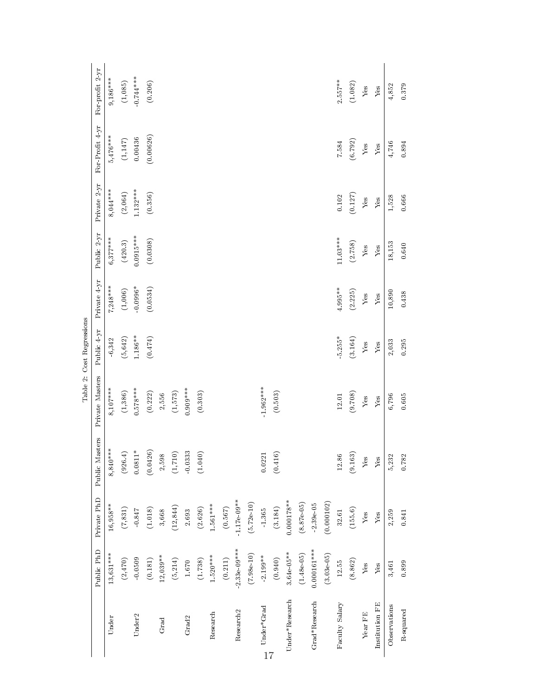|                                |                             |                             |                |                             | Table 2: Cost Regressions |              |                           |              |                         |                 |
|--------------------------------|-----------------------------|-----------------------------|----------------|-----------------------------|---------------------------|--------------|---------------------------|--------------|-------------------------|-----------------|
|                                | Public PhD                  | Private PhD                 | Public Masters | Private Masters             | Public 4 yr               | Private 4 yr | Public 2 yr               | Private 2 yr | For Profit 4 yr         | For profit 2 yr |
| Under                          | 13,631***                   | $16,958***$                 | $8,840***$     | $8,107***$                  | 6,342                     | $7,248***$   | $6,377***$                | $8,044***$   | $5,476***$              | $9,186***$      |
|                                | (2,470)                     | $(7,831)$                   | (926.4)        | (1,386)                     | (5, 642)                  | (1,006)      | $(420.3)$                 | (2,064)      | $\left( 1{,}147\right)$ | (1,085)         |
| Under <sub>2</sub>             | $-0.0509$                   | $-0.847\,$                  | $0.0811^*$     | $0.578***$                  | $1.186***$                | $-0.0996*$   | $0.0915***$               | $1.132***$   | 0.00436                 | $-0.744***$     |
|                                | (0.181)                     | (1.018)                     | (0.0426)       | (0.222)                     | (0.474)                   | (0.0534)     | (0.0308)                  | (0.356)      | (0.00626)               | (0.206)         |
| Grad                           | $12,039**$                  | 3,668                       | 2,598          | 2,556                       |                           |              |                           |              |                         |                 |
|                                | (5,214)                     | (12, 844)                   | (1,710)        | (1,573)                     |                           |              |                           |              |                         |                 |
| Grad <sub>2</sub>              | $1.670\,$                   | 2.693                       | $-0.0333$      | $0.909***$                  |                           |              |                           |              |                         |                 |
|                                | (1.738)                     | (2.626)                     | (1.040)        | (0.303)                     |                           |              |                           |              |                         |                 |
| Research                       | $1.520***$                  | $1.561***$                  |                |                             |                           |              |                           |              |                         |                 |
|                                | (0.211)                     | (0.567)                     |                |                             |                           |              |                           |              |                         |                 |
| Research <sub>2</sub>          | $2.33e-09***$               | $1.17e-09**$                |                |                             |                           |              |                           |              |                         |                 |
|                                | (7.98e.10)                  | (5.72e.10)                  |                |                             |                           |              |                           |              |                         |                 |
| $Under*Grad$<br>$\frac{17}{2}$ | $-2.199***$                 | 1.365                       | $0.0221\,$     | $1.962***$                  |                           |              |                           |              |                         |                 |
|                                | (0.940)                     | (3.184)                     | (0.416)        | (0.503)                     |                           |              |                           |              |                         |                 |
| Under*Research                 | $3.64e-05***$               | $0.000178$ **               |                |                             |                           |              |                           |              |                         |                 |
|                                | $(1.48e-05)$                | (8.87e.05)                  |                |                             |                           |              |                           |              |                         |                 |
| Grad*Research                  | $0.000161***$               | $2.39e-05$                  |                |                             |                           |              |                           |              |                         |                 |
|                                | $(3.03e-05)$                | (0.000102)                  |                |                             |                           |              |                           |              |                         |                 |
| Faculty Salary                 | 12.55                       | $32.61\,$                   | 12.86          | 12.01                       | $5.255*$                  | 4.995**      | $11.03***$                | $0.102\,$    | 7.584                   | $2.557***$      |
|                                | (8.862)                     | (155.6)                     | (9.163)        | (9.708)                     | (3.164)                   | (2.225)      | (2.758)                   | (0.127)      | (6.792)                 | (1.082)         |
| Year FE                        | $\ensuremath{\mathrm{Yes}}$ | $\ensuremath{\mathrm{Yes}}$ | ${\rm Yes}$    | $\ensuremath{\mathrm{Yes}}$ | ${\rm Yes}$               | ${\rm Yes}$  | ${\rm Yes}$               | ${\rm Yes}$  | ${\rm Yes}$             | ${\rm Yes}$     |
| Institution FE                 | ${\rm Yes}$                 | ${\it Yes}$                 | ${\rm Yes}$    | ${\it Yes}$                 | ${\rm Yes}$               | ${\it Yes}$  | $\ensuremath{\text{Yes}}$ | ${\rm Yes}$  | ${\rm Yes}$             | ${\rm Yes}$     |
| Observations                   | 3,461                       | 2,259                       | 5,232          | 6,796                       | 2,033                     | $10,\!890$   | 18,153                    | 1,528        | 4,746                   | 4,852           |
| R-squared                      | 0.899                       | 0.841                       | 0.782          | $0.605\,$                   | 0.295                     | 0.438        | $\bf 0.640$               | 0.666        | $\bf 0.894$             | 0.379           |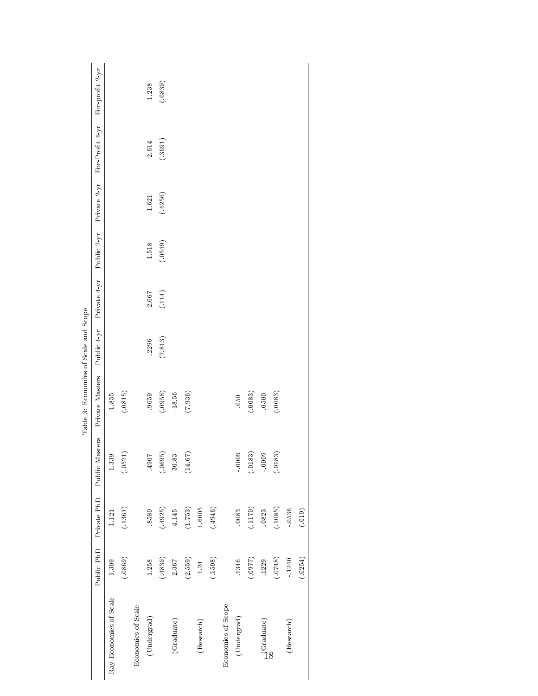|                                   | Public PhD | Private PhD | Public Masters | Private Masters | Public 4 yr | Private 4 yr | Public $2$ yr | Private 2 yr | For Profit 4 yr | For profit $2~\rm yr$ |
|-----------------------------------|------------|-------------|----------------|-----------------|-------------|--------------|---------------|--------------|-----------------|-----------------------|
| Ray Economies of Scale            | 1.309      | 1.121       | 1.339          | $1.855\,$       |             |              |               |              |                 |                       |
|                                   | (.0869)    | (.1361)     | (.0521)        | (.0815)         |             |              |               |              |                 |                       |
| Economies of Scale                |            |             |                |                 |             |              |               |              |                 |                       |
| (Under grad)                      | 1.258      | 8580        | $.4907$        | .9659           | .2296       | 2.667        | $1.518\,$     | $1.621\,$    | $2.614\,$       | 1.238                 |
|                                   | (.4839)    | (.4925)     | (.0695)        | (.0958)         | (2.813)     | (114)        | (.0549)       | (.4256)      | (.3691)         | (.0839)               |
| (Graduate)                        | 2.367      | $4.145\,$   | $30.83\,$      | $-18.56$        |             |              |               |              |                 |                       |
|                                   | (2.559)    | (1.753)     | $(14.67)$      | (7.936)         |             |              |               |              |                 |                       |
| (Research)                        | $1.24\,$   | $1.6005\,$  |                |                 |             |              |               |              |                 |                       |
|                                   | (.1508)    | (.4946)     |                |                 |             |              |               |              |                 |                       |
| Economies of Scope                |            |             |                |                 |             |              |               |              |                 |                       |
| $\left( \text{Under grad}\right)$ | .1346      | .0083       | $0000 -$       | .050            |             |              |               |              |                 |                       |
|                                   | (7780.)    | (1170)      | (.0183)        | (.0083)         |             |              |               |              |                 |                       |
| $\frac{1}{2}$ Graduate)           | .1229      | .0823       | $-0009$        | 0500            |             |              |               |              |                 |                       |
|                                   | (.0748)    | (.1085)     | (.0183)        | (.0083)         |             |              |               |              |                 |                       |
| (Research)                        | $-1240$    | $-0536$     |                |                 |             |              |               |              |                 |                       |
|                                   | (.0254)    | (.019)      |                |                 |             |              |               |              |                 |                       |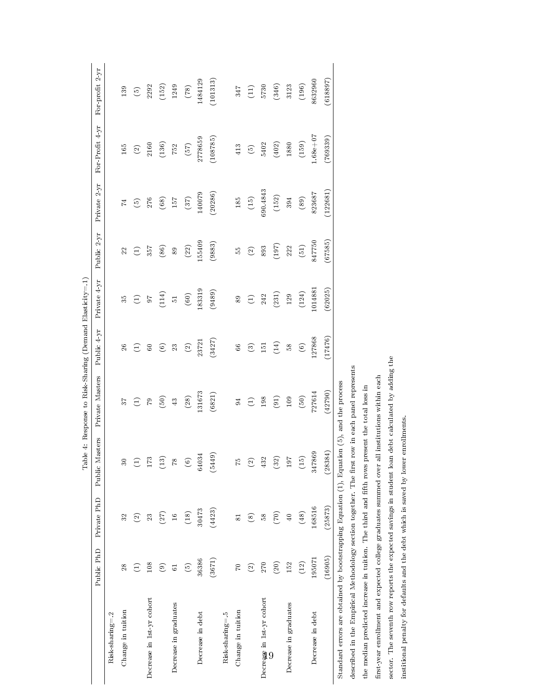|                                                                                                    |                        |                          |                 | Table 4: Response to Risk-Sharing (Demand Elasticity=.1) |                                              |                |                    |                    |                            |                          |
|----------------------------------------------------------------------------------------------------|------------------------|--------------------------|-----------------|----------------------------------------------------------|----------------------------------------------|----------------|--------------------|--------------------|----------------------------|--------------------------|
|                                                                                                    | Public PhD             | Private PhD              | Public Masters  | Private Masters                                          | Public 4 yr                                  | Private 4 yr   | Public 2 yr        | Private 2 yr       | For-Profit 4 yr            | For profit 2-yr          |
| Risk sharing=.2                                                                                    |                        |                          |                 |                                                          |                                              |                |                    |                    |                            |                          |
| Change in tuition                                                                                  | 28                     | 32                       | $30\,$          | 57                                                       | 26                                           | 35             | 22                 | $\overline{z}$     | $165\,$                    | 139                      |
|                                                                                                    | E                      | $\widehat{\infty}$       | $\bigoplus$     | $\bigoplus$                                              | E                                            | E)             | E                  | $\widehat{c}$      | $\widehat{\text{\sf (2)}}$ | $\widehat{\mathfrak{S}}$ |
| Decrease in 1st-yr cohort                                                                          | $108\,$                | 23                       | 173             | $\mathbb{S}^1$                                           | $60\,$                                       | ${\bf 6}$      | 357                | 276                | 2160                       | 2292                     |
|                                                                                                    | $\widehat{\mathbf{e}}$ | (27)                     | $\binom{13}{1}$ | (50)                                                     | $\odot$                                      | (114)          | (86)               | (68)               | (136)                      | (152)                    |
| Decrease in graduates                                                                              | $\overline{6}$         | $\overline{16}$          | $\sqrt{8}$      | 43                                                       | 23                                           | $\overline{5}$ | 89                 | 157                | 752                        | 1249                     |
|                                                                                                    | $\odot$                | (18)                     | $\circledcirc$  | $(28)$                                                   | $\widehat{\text{\ensuremath{\mathfrak{C}}}}$ | (60)           | $(22)$             | $(37)$             | (57)                       | $(82)$                   |
| Decrease in debt                                                                                   | 36386                  | 30473                    | 64034           | 131673                                                   | 23721                                        | .83319         | 55409              | 140079             | 2778659                    | 1484129                  |
|                                                                                                    | (3671)                 | (4423)                   | ெ<br>(544)      | (6821)                                                   | (3427)                                       | (9489)         | (9883)             | (20286)            | (108785)                   | (101313)                 |
| Risk sharing=.5                                                                                    |                        |                          |                 |                                                          |                                              |                |                    |                    |                            |                          |
| Change in tuition                                                                                  | 01                     | $\overline{\phantom{0}}$ | 54              | $\mathfrak{A}$                                           | 66                                           | 89             | 13                 | 185                | 413                        | 347                      |
|                                                                                                    | $\widehat{\infty}$     | $\circledS$              | $\odot$         | $\ominus$                                                | $\widehat{c}$                                | $\ominus$      | $\widehat{\infty}$ | $\left( 15\right)$ | $\odot$                    | $\left( 11\right)$       |
| Decrease in 1st yr cohort                                                                          | 270                    | 58                       | 432             | $198\,$                                                  | 151                                          | 242            | 893                | 690.4843           | 5402                       | 5730                     |
|                                                                                                    | (20)                   | (70)                     | $(32)$          | (91)                                                     | (14)                                         | (231)          | (197)              | $(152)$            | (402)                      | (346)                    |
| Decrease in graduates                                                                              | 152                    | 40                       | 197             | 109                                                      | 38                                           | $129\,$        | 222                | 394                | $1880\,$                   | 3123                     |
|                                                                                                    | (12)                   | $(48)$                   | (15)            | $(50)$                                                   | $\circledcirc$                               | (124)          | $(51)$             | $\left(89\right)$  | (159)                      | $(196)$                  |
| Decrease in debt                                                                                   | 195071                 | 168516                   | 347869          | 727614                                                   | 127868                                       | 1014881        | 847750             | 823687             | $-68e + 07$                | 8632960                  |
|                                                                                                    | (16905)                | (25873)                  | (28384)         | (42790)                                                  | (17476)                                      | (62025)        | (67585)            | (122681)           | (769339)                   | (618897)                 |
| Standard errors are obtained by bootstrapping Equation $(1)$ , Equation $(5)$ , and the process    |                        |                          |                 |                                                          |                                              |                |                    |                    |                            |                          |
| described in the Empirical Methodology section together. The first                                 |                        |                          |                 | row in each panel represents                             |                                              |                |                    |                    |                            |                          |
| the median predicted increase in tuition. The third and fifth rows present the total loss in       |                        |                          |                 |                                                          |                                              |                |                    |                    |                            |                          |
| first-year enrollment and expected college graduates summed over all institutions within each      |                        |                          |                 |                                                          |                                              |                |                    |                    |                            |                          |
| sector. The seventh row reports the expected savings in student loan debt calculated by adding the |                        |                          |                 |                                                          |                                              |                |                    |                    |                            |                          |
| institional penalty for defaults and the debt which is saved by lower                              |                        |                          | enrollments.    |                                                          |                                              |                |                    |                    |                            |                          |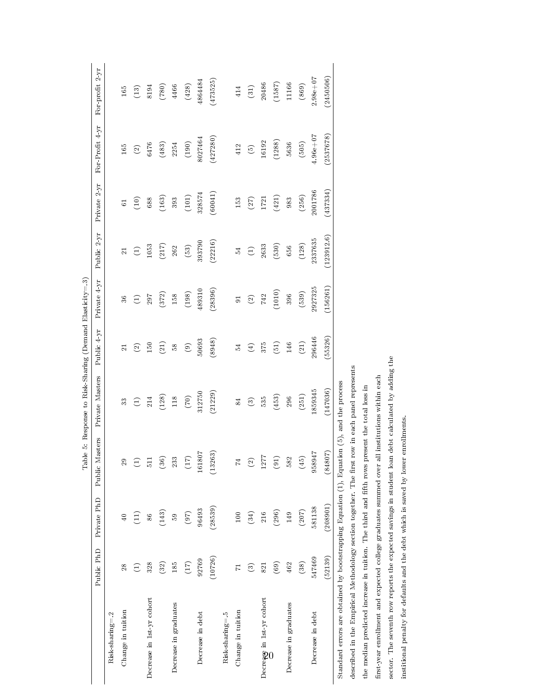|                                                                                                    |                          |                                       |                    | Table 5: Response to Risk-Sharing (Demand Elasticity=.3) |                         |                               |                |                               |                           |                             |
|----------------------------------------------------------------------------------------------------|--------------------------|---------------------------------------|--------------------|----------------------------------------------------------|-------------------------|-------------------------------|----------------|-------------------------------|---------------------------|-----------------------------|
|                                                                                                    | Public PhD               | Private PhD                           | Public Masters     | Private Masters                                          | Public 4 yr             | Private 4 yr                  | Public 2 yr    | Private 2 yr                  | For-Profit 4 yr           | For profit $2 \, \text{yr}$ |
| Risk sharing=2                                                                                     |                          |                                       |                    |                                                          |                         |                               |                |                               |                           |                             |
| Change in tuition                                                                                  | 28                       | 40                                    | $29\,$             | 33                                                       | $\overline{\mathbf{z}}$ | 36                            | $\overline{z}$ | 5                             | $165\,$                   | $165\,$                     |
|                                                                                                    | $\ominus$                | $\begin{pmatrix} 1 \ 1 \end{pmatrix}$ | E                  | $\widehat{\Xi}$                                          | $\widehat{\infty}$      | E                             | E              | $\left( \frac{10}{2} \right)$ | $\widehat{\infty}$        | (13)                        |
| Decrease in 1st-yr cohort                                                                          | 328                      | 86                                    | $\overline{511}$   | 214                                                      | $150\,$                 | $297\,$                       | 1053           | 688                           | 6476                      | 8194                        |
|                                                                                                    | (32)                     | (143)                                 | $(36)$             | (128)                                                    | (21)                    | (372)                         | (217)          | $(163)$                       | $\left( 483\right)$       | (780)                       |
| Decrease in graduates                                                                              | 185                      | 59                                    | 233                | $118\,$                                                  | $8^{\circ}$             | $158\,$                       | 262            | 393                           | 2254                      | 4466                        |
|                                                                                                    | (17)                     | (97)                                  | (17)               | (70)                                                     | $\circledcirc$          | (198)                         | (53)           | $(101)$                       | (190)                     | $\left( 428\right)$         |
| Decrease in debt                                                                                   | 92769                    | 96493                                 | 161807             | 312750                                                   | 50693                   | 489310                        | 393790         | 328574                        | 8027464                   | 1864484                     |
|                                                                                                    | (10726)                  | (28539)                               | (13263)            | (21229)                                                  | (8948)                  | (28396)                       | (22216)        | (60041)                       | (427280)                  | (473525)                    |
| Risk sharing=-5                                                                                    |                          |                                       |                    |                                                          |                         |                               |                |                               |                           |                             |
| Change in tuition                                                                                  | $\overline{\phantom{0}}$ | 100                                   | $\overline{z}$     | 84                                                       | 24                      | 5 <sub>1</sub>                | 24             | 153                           | 412                       | 414                         |
|                                                                                                    | $\widehat{\mathbf{c}}$   | (34)                                  | $\widehat{\infty}$ | $\circledR$                                              | $\bigoplus$             | $\textcircled{\scriptsize 2}$ | $\ominus$      | (27)                          | $\widetilde{\mathcal{O}}$ | $(31)$                      |
| Decrease in 1st-yr cohort                                                                          | 821                      | 216                                   | 1277               | 535                                                      | 375                     | 742                           | 2633           | 1721                          | 16192                     | 20486                       |
|                                                                                                    | (69)                     | (296)                                 | (91)               | (453)                                                    | (51)                    | (1010)                        | $(530)$        | $(421)$                       | (1288)                    | (1587)                      |
| Decrease in graduates                                                                              | 462                      | 149                                   | 582                | 296                                                      | 146                     | 396                           | $656\,$        | 983                           | 5636                      | 11166                       |
|                                                                                                    | (38)                     | (207)                                 | $\overline{45}$    | (251)                                                    | (21)                    | (539)                         | (128)          | (256)                         | (505)                     | (869)                       |
| Decrease in debt                                                                                   | 547469                   | 581138                                | 958947             | 1859345                                                  | 296446                  | 2927325                       | 2337635        | 2001786                       | $4.96e + 07$              | $2.98e + 07$                |
|                                                                                                    | (52139)                  | (208901)                              | (84807)            | (147036)                                                 | (55326)                 | (156261)                      | (123912.6)     | (437334)                      | (2537678)                 | (2450506)                   |
| Standard errors are obtained by bootstrapping Equation $(1)$ , Equation $(5)$ , and the process    |                          |                                       |                    |                                                          |                         |                               |                |                               |                           |                             |
| described in the Empirical Methodology section together. The first                                 |                          |                                       |                    | row in each panel represents                             |                         |                               |                |                               |                           |                             |
| the median predicted increase in tuition. The third and fifth rows present the total loss in       |                          |                                       |                    |                                                          |                         |                               |                |                               |                           |                             |
| first-year enrollment and expected college graduates summed over all institutions within each      |                          |                                       |                    |                                                          |                         |                               |                |                               |                           |                             |
| sector. The seventh row reports the expected savings in student loan debt calculated by adding the |                          |                                       |                    |                                                          |                         |                               |                |                               |                           |                             |
| institional penalty for defaults and the debt which is saved by lower enrollments.                 |                          |                                       |                    |                                                          |                         |                               |                |                               |                           |                             |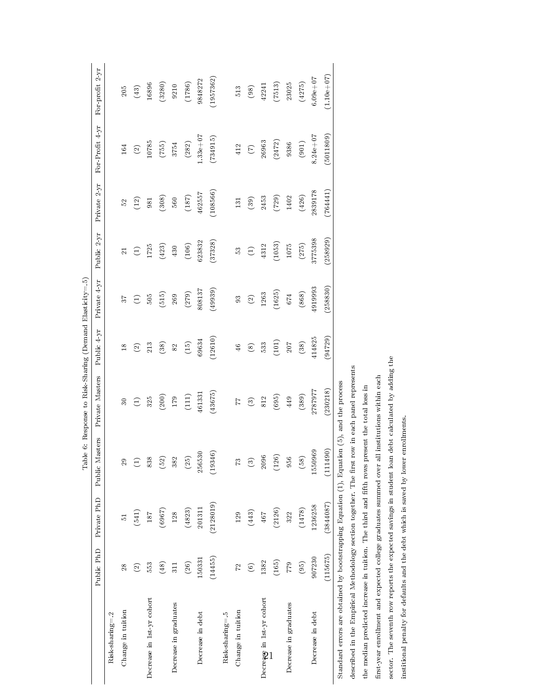|                                                                                                 |                    |             |                | Table 6: Response to Risk-Sharing (Demand Elasticity=.5) |                    |              |             |                 |                   |                 |
|-------------------------------------------------------------------------------------------------|--------------------|-------------|----------------|----------------------------------------------------------|--------------------|--------------|-------------|-----------------|-------------------|-----------------|
|                                                                                                 | Public PhD         | Private PhD | Public Masters | Private Masters                                          | Public 4 yr        | Private 4 yr | Public 2 yr | Private 2 yr    | For Profit 4 yr   | For profit 2 yr |
| Risk-sharing=.2                                                                                 |                    |             |                |                                                          |                    |              |             |                 |                   |                 |
| Change in tuition                                                                               | 28                 | 51          | $29\,$         |                                                          | $\overline{18}$    | 37           | $\Xi$       | $\mathbb{S}^2$  | 164               | 205             |
|                                                                                                 | $\widehat{\infty}$ | (541)       | E              | E                                                        | $\widehat{\infty}$ | E            | $\bigoplus$ | $\widehat{\Xi}$ | $\widehat{\odot}$ | $(43)$          |
| Decrease in 1st-yr cohort                                                                       | 553                | 187         | 838            | $325\,$                                                  | 213                | 505          | 1725        | 981             | 10785             | 16896           |
|                                                                                                 | (48)               | (6967)      | (52)           | (200)                                                    | (38)               | (515)        | (423)       | (308)           | (755)             | (3280)          |
| Decrease in graduates                                                                           | 311                | 128         | 382            | $179\,$                                                  | $82\,$             | 269          | 430         | 560             | 3754              | $9210\,$        |
|                                                                                                 | (26)               | (4823)      | (25)           | (111)                                                    | (15)               | (279)        | (106)       | (187)           | (282)             | (1786)          |
| Decrease in debt                                                                                | 150331             | 201311      | 256530         | 461331                                                   | 69634              | 808137       | 623832      | 462557          | $.33e + 07$       | 9848272         |
|                                                                                                 | (14455)            | (2128019)   | (19346)        | (43675)                                                  | (12610)            | (49939)      | (37328)     | (108566)        | (734915)          | (1957362)       |
| Risk sharing=.5                                                                                 |                    |             |                |                                                          |                    |              |             |                 |                   |                 |
| Change in tuition                                                                               | 72                 | 129         | $\mathbb{Z}$   | 77                                                       | $46\,$             | 93           | SS.         | 131             | $412\,$           | 513             |
|                                                                                                 | $\widehat{\circ}$  | (443)       | ව              | $\odot$                                                  | $\circledast$      | $\odot$      | $\bigoplus$ | (39)            | $\bigcirc$        | $^{(98)}$       |
| Decrease in 1st-yr cohort                                                                       | 1382               | 467         | 2096           | 812                                                      | 533                | 1263         | 4312        | 2453            | 26963             | 42241           |
|                                                                                                 | (165)              | (2126)      | $(126)$        | (695)                                                    | (101)              | (1625)       | (1053)      | $(729)$         | (2472)            | (7513)          |
| Decrease in graduates                                                                           | <b>672</b>         | 322         | 956            | 449                                                      | 207                | 674          | 1075        | 1402            | 9386              | 23025           |
|                                                                                                 | (95)               | (1478)      | (58)           | (389)                                                    | (38)               | (868)        | (275)       | (426)           | (901)             | (4275)          |
| Decrease in debt                                                                                | 907230             | 1236258     | 1550969        | 2787977                                                  | 414825             | 4919993      | 3775398     | 2839178         | $8.24e + 07$      | $6.09 + 07$     |
|                                                                                                 | (115675)           | (3844087)   | (111490)       | (230218)                                                 | (94729)            | (258830)     | (258929)    | (764441)        | (5011809)         | $(1.10e+0.7)$   |
| Standard errors are obtained by bootstrapping Equation $(1)$ , Equation $(5)$ , and the process |                    |             |                |                                                          |                    |              |             |                 |                   |                 |
| described in the Empirical Methodology section together. The first                              |                    |             |                | row in each panel represents                             |                    |              |             |                 |                   |                 |
| the median predicted increase in tuition. The third and fifth rows present the total loss in    |                    |             |                |                                                          |                    |              |             |                 |                   |                 |
| first-year enrollment and expected college graduates summed over all institutions within each   |                    |             |                |                                                          |                    |              |             |                 |                   |                 |

sector. The seventh row reports the expected savings in student loan debt calculated by adding the

sector. The seventh row reports the expected savings in student loan debt calculated by adding the institional penalty for defaults and the debt which is saved by lower enrollments.